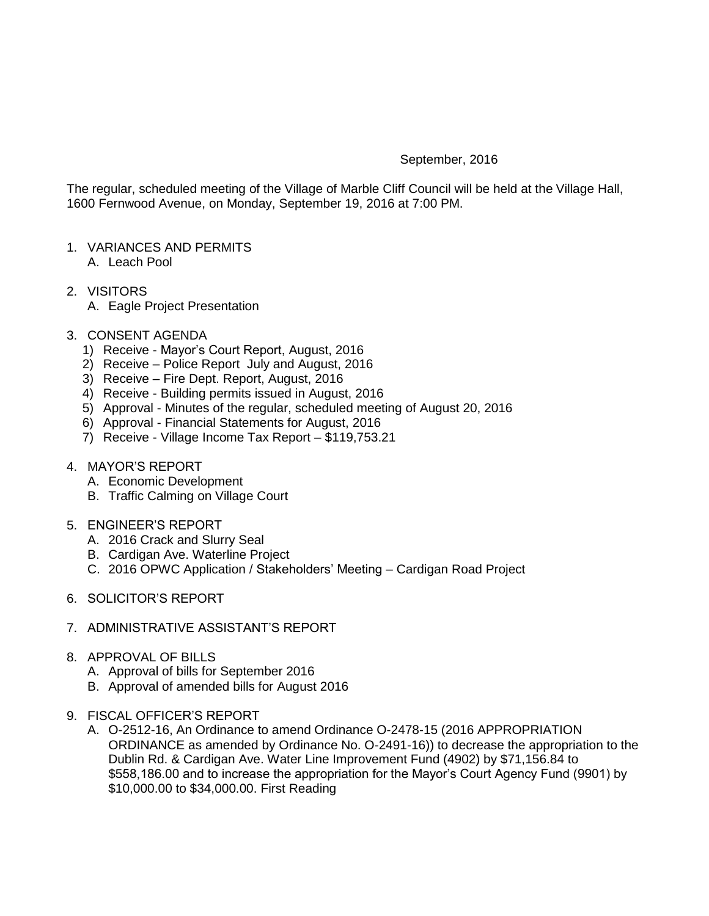## September, 2016

The regular, scheduled meeting of the Village of Marble Cliff Council will be held at the Village Hall, 1600 Fernwood Avenue, on Monday, September 19, 2016 at 7:00 PM.

- 1. VARIANCES AND PERMITS A. Leach Pool
- 2. VISITORS A. Eagle Project Presentation
	-
- 3. CONSENT AGENDA
	- 1) Receive Mayor's Court Report, August, 2016
	- 2) Receive Police Report July and August, 2016
	- 3) Receive Fire Dept. Report, August, 2016
	- 4) Receive Building permits issued in August, 2016
	- 5) Approval Minutes of the regular, scheduled meeting of August 20, 2016
	- 6) Approval Financial Statements for August, 2016
	- 7) Receive Village Income Tax Report \$119,753.21
- 4. MAYOR'S REPORT
	- A. Economic Development
	- B. Traffic Calming on Village Court
- 5. ENGINEER'S REPORT
	- A. 2016 Crack and Slurry Seal
	- B. Cardigan Ave. Waterline Project
	- C. 2016 OPWC Application / Stakeholders' Meeting Cardigan Road Project
- 6. SOLICITOR'S REPORT
- 7. ADMINISTRATIVE ASSISTANT'S REPORT
- 8. APPROVAL OF BILLS
	- A. Approval of bills for September 2016
	- B. Approval of amended bills for August 2016
- 9. FISCAL OFFICER'S REPORT
	- A. O-2512-16, An Ordinance to amend Ordinance O-2478-15 (2016 APPROPRIATION ORDINANCE as amended by Ordinance No. O-2491-16)) to decrease the appropriation to the Dublin Rd. & Cardigan Ave. Water Line Improvement Fund (4902) by \$71,156.84 to \$558,186.00 and to increase the appropriation for the Mayor's Court Agency Fund (9901) by \$10,000.00 to \$34,000.00. First Reading